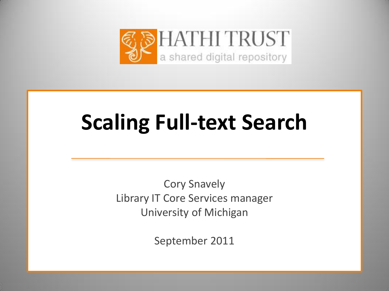

# **Scaling Full-text Search**

Cory Snavely Library IT Core Services manager University of Michigan

September 2011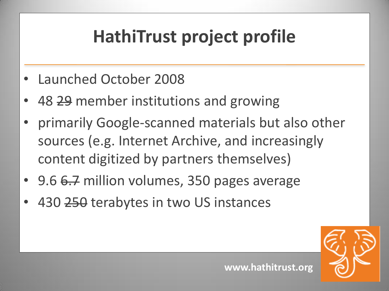# **HathiTrust project profile**

- Launched October 2008
- 48 29 member institutions and growing
- primarily Google-scanned materials but also other sources (e.g. Internet Archive, and increasingly content digitized by partners themselves)
- 9.6 6.7 million volumes, 350 pages average
- 430 250 terabytes in two US instances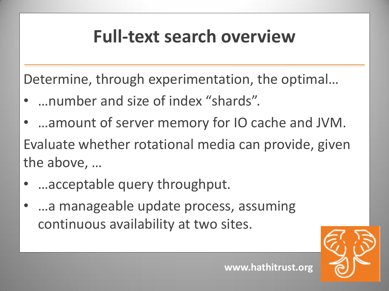#### **Full-text search overview**

Determine, through experimentation, the optimal…

- …number and size of index "shards".
- ...amount of server memory for IO cache and JVM. Evaluate whether rotational media can provide, given the above, …
- …acceptable query throughput.
- ...a manageable update process, assuming continuous availability at two sites.

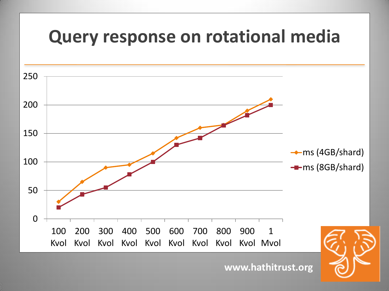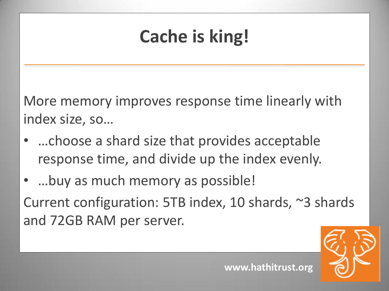# **Cache is king!**

More memory improves response time linearly with index size, so…

- …choose a shard size that provides acceptable response time, and divide up the index evenly.
- …buy as much memory as possible!

Current configuration: 5TB index, 10 shards, ~3 shards and 72GB RAM per server.

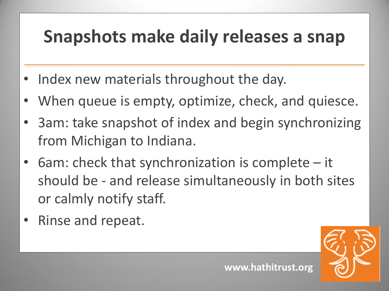#### **Snapshots make daily releases a snap**

- Index new materials throughout the day.
- When queue is empty, optimize, check, and quiesce.
- 3am: take snapshot of index and begin synchronizing from Michigan to Indiana.
- 6am: check that synchronization is complete  $-$  it should be - and release simultaneously in both sites or calmly notify staff.
- Rinse and repeat.



**www.hathitrust.org**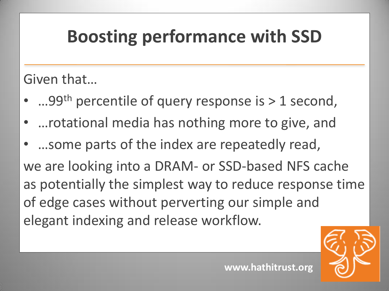# **Boosting performance with SSD**

Given that…

- ...99<sup>th</sup> percentile of query response is > 1 second,
- …rotational media has nothing more to give, and
- …some parts of the index are repeatedly read, we are looking into a DRAM- or SSD-based NFS cache as potentially the simplest way to reduce response time of edge cases without perverting our simple and elegant indexing and release workflow.